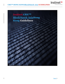

Instinet<sup>>></sup>

A Nomura Company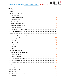SERTH HONG KONGBlock Match Asia GUIDELINES

# **Contents**

| 1.  |      |  |  |  |
|-----|------|--|--|--|
| 2.  |      |  |  |  |
| 3.  |      |  |  |  |
| 3.1 |      |  |  |  |
| 3.2 |      |  |  |  |
| 3.3 |      |  |  |  |
| 4.  |      |  |  |  |
| 5.  |      |  |  |  |
| 6.  |      |  |  |  |
| 6.1 |      |  |  |  |
| 6.2 |      |  |  |  |
| 6.3 |      |  |  |  |
| 7.  |      |  |  |  |
| 7.1 |      |  |  |  |
| 7.2 |      |  |  |  |
| 7.3 |      |  |  |  |
| 7.6 |      |  |  |  |
| 7.7 |      |  |  |  |
| 7.8 |      |  |  |  |
| 7.9 |      |  |  |  |
|     | 7.10 |  |  |  |
|     | 7.11 |  |  |  |
| 8.  |      |  |  |  |
| 8.1 |      |  |  |  |
| 8.2 |      |  |  |  |
| 8.3 |      |  |  |  |
| 8.4 |      |  |  |  |
| 8.5 |      |  |  |  |
| 9.  |      |  |  |  |
| 10. |      |  |  |  |
| 11. |      |  |  |  |
|     | 11.1 |  |  |  |
|     | 11.2 |  |  |  |
|     | 11.3 |  |  |  |
| 12. |      |  |  |  |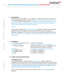# <span id="page-2-0"></span>**1. Introduction**

Instinet Pacific Limited ("Instinet") – CE No. ABB038 – operates an Alternative Liquidity ("ALP") for Hong Kong listed securities pursuant to its Securities and Futures Commission ("SFC")type Type 7 license under the brand name CBXTM-BlockMatch AsiaHong Kong("BlockMatch"); and is approved as a Recognised Market Operator ("RMO") by the Monetary Authority of Singapore (MAS) under the Securities and Futures Act (Cap. 289).

## ("CBX").

This document is Instinet's ALP guidelines Guidelines ("Guidelines") written to ensure Instinet's adherence to the SFC Paragraph 19 of the Code of Conduct for Persons Licensed by or Registered ("Paragraph 19") with the SFC ("the Code") and specifically Schedule 8 of the Code,; and;  $\overline{\phantom{a}}$ , MAS Guidelines on the Regulation of Markets and recognition conditions for Instinet's RMO's status.

## <span id="page-2-1"></span>**2. Definitions**

| a) "Alternative Liquidity Pool or ALP": is defined in Paragraph 19; |                                                         |
|---------------------------------------------------------------------|---------------------------------------------------------|
| a)b) "Conditional Orders"                                           | is defined as in Paragraph 4.1 of this document         |
| c) "Group of companies":                                            | shares the definition as in Part 1 of Schedule 1 of the |
|                                                                     | Securities and Futures Ordinance ("the SFO");           |
| b)d) "Firm up"                                                      | is as defined in Paragraph 4.3 of this document         |
| e)e) "Proprietary Order":                                           | is as defined in Paragraph 19;                          |
| $\frac{d}{f}$ "Qualified Investor":                                 | is as defined in Paragraph 19;                          |
| <del>e)</del> g)"User":                                             | is as defined in Paragraph 19.                          |
|                                                                     |                                                         |

## <span id="page-2-3"></span><span id="page-2-2"></span>**3. Clients and User Restrictions**

## **3.1 Eligible Clients**

Only "Qualified Investors" are able to trade in CBXBlockMatch, subject to approval and acceptance of this Guide and the Terms of Business. Orders from clients who are not authorised to trade are rejected. Clients must also ensure that their underlying clients are Qualified Investors. In respect of investors in Singapore, Instinet shall only allow professional, accredited investors and expert investors to trade directly on its organised markets.

Instinet reserves the right to limit access to or prohibit the use of CBX-BlockMatch at its own discretion.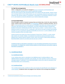#### <span id="page-3-0"></span>**3.2 Opt Out arrangements**

Clients' configurations can easily be changed to opt-out of interaction with BlockMatch and requests should be directed to your Instinet relationship manager.

deny the client access to CBX should they prefer not to interact with dark liquidity. Please contact your coverage trader for that change.Clients can use Counterparty Selection functionality to tailor interaction with specific profiles of counterparty. A description of Counterparty Selection is found at 7.5, and requests can also be directed to your Instinet relationship manager.

Instine:

## <span id="page-3-1"></span>**3.3 Associated Risks**

Given the agency nature of Instinet's business there are limited risks of which the client should be aware. Instinet is keen to ensure that the CBX-BlockMatch product is valued by all clients, and, as such, we we provide access to a wide spectrum of liquidity, and clients can choose to opt out of interaction with particular types of counterparty. only allow institutional clients to directly post liquidity into the pool. Instinet does not allow "high frequency traders", "market makers", or other liquidity providers to access the ALP. In particular, users who do not wish to interact with liquidity providers can use Counterparty Selection functionality as set out at 7.5, and in addition can use minimum quantity to filter out smaller orders.

Instinet receives price feeds from Stock Exchange of Hong Kong<sup>1</sup> ("SEHK"), or other market data vendors we consider reliable. In exceptional circumstances pricing information may be delayed due to reasons beyond Instinet's control, which may result in orders being matched in BlockMatchCBX outside the prevailing best bid and ask on SEHK.

Conditional orders as described in paragraph 4.1 are non-binding and therefore may not result in an execution. To mitigate this, Instinet monitors patterns of client behaviour and system usage as described in paragraph 4..

# <span id="page-3-2"></span>**4. Conditional Book**

#### **4.1 Conditional Orders**

A non -binding order which is submitted to the CBXBlockmatch Conditional bBook. Upon CBXBlockMatch identifying matchable contra liquidity, the order submitter receives an electronic message request ("inotification") from BlockMatchCBX to send a firm order for execution in the BlockMatchCBX Limit Crossing Book. -

## **4.2 Conditional Book**

The Conditional Book holds conditional orders and manages the identification and notification of contra liquidity. Conditional orders are pegged to the mid-point of the exchange best bid/offer,

l <sup>1</sup> Owned and operated by Hong Kong Exchanges and Clearing Limited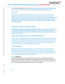and are therefore prioritised by size, time. No matching takes place within the Conditional Book and all firmed up orders are executed within the BlockMatchCBX Limit Crossing Book.

Inetine

#### **4.3 Firm Up**

In the event the Conditional Book identifies potential contra side interest, users will receive notification of the potential trading opportunity with an invitation to firm up. The notification displays symbol and the users own size and side, however does not display anysize, price details of the contra order or identity of the counterparty. Unmarketable conditional orders, or orders which cannot meet a contra order's minimum quantity requirements are not eligible to receive a notification message.

#### **4.4 Response Timeframe and Matching Priority**

Responses to a notification message must be received Users have with X-2 seconds to respond to a notification message and seconds by sending a firm order to the BlockMatchCBX Limit Crossing Book. All orders injected into the BlockMatchCBX Limit Crossing Book-, are matched on a price, size, time basis-,

#### **4.5 Firm order Interaction with Non-the Conditional OrdersBook**

Resting orders in the BlockMatch<del>CBX</del> Limit Crossing Book can elect to interact with conditional orders using FIX Tag 7098 MatchInst, which flags the order to the Conditional Book. When the Conditional Book is looking for contra liquidity, it therefore can see any conditional orders, and those firm orders which have been flagged. Questions or requests regarding tagging of firm orders can be directed to your Instinet relationship manager.

#### **4.6 Order Behaviour**

**Any** order that is injected into the BlockMatch Limit Crossing Book can execute against any marketable contra liquidity, subject to its limit price and any minimum quantity applied. This includes conditional order firm ups, orders received as a late response to a firm up request and any resting firm orders. To ensure service integrity, Instinet will monitor timing of responses to firm up requests alongside monitoring described at 4.7.

#### **3.44.7 Monitoring**

In monitoring the response rate to conditional orders, and limit the potential for information leakage, Instinet personnel will evaluate, on an ongoing basis for each trading day, the firm up rate for each client. Where a client's firm up rate falls below a defined % for the relevant trade date, Instinet will take appropriate steps to ensure service integrity.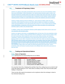<span id="page-5-0"></span>Instinet is an agency only broker and therefore does not have any of its own proprietary orders that access BlockMatch. Within BlockMatch, the matching logic prioritises agency orders over principal meaning for example where two orders are resting at the same price level, the agency order has queue priority over the principal order, irrespective of time entered. Instinet monitors matching priority of orders on a post trade basis to ensure fair treatment and service integrity.

Inctino

Instinet is wholly owned by Nomura Holdings Inc. Some Nomura entities under the same ownership, whilst treated the same as any other client at Instinet, are treated as "proprietary" under the broad definitions in the Code and the SFO (Cap 571). If any of these Nomura entities access BlockMatch, irrespective of the time when their orders are placed, the matching logic prioritises agency orders over principal orders.

In addition, Instinet uses Counterparty Selection profile tagging should clients wish to opt out of any interaction with principal orders.

Instinet is an agency only broker so and therefore does not have any of its own proprietary orders that access CBX. Instinet is wholly owned by Nomura Holdings Inc. Some Nomura entities under the same ownership, whilst treated the same as any other client at Instinet, are treated as "proprietary" under the broad definitions in the Code and the SFO (Cap 571). If any of these Nomura entities access CBX, irrespective of the time when their orders are placed, the matching logic prioritises agency orders over principal orders. For example, where two orders are resting at the same price level, the agency order has queue priority over the principal order, irrespective of time entered. orders of users of CBX Hong Kong who are not proprietary orders will have priority over proprietary orders when such orders are being transacted at the same price. That is, proprietary orders will reduce in priority should a non-affiliated client order at the same price be sent into CBX.

## <span id="page-5-2"></span><span id="page-5-1"></span>**5.6. Trading and Operational Matters**

## **5.16.1 Hours of Operation**

SEHK opening hours for normal trading hours are as follows:

| Time            | <b>Session</b>                        |
|-----------------|---------------------------------------|
| $09:00 - 09:30$ | Pre-open Session                      |
| $09:30 - 12:00$ | <b>Morning Continuous Trading</b>     |
| $12:00 - 13:30$ | <b>Extended Morning Session</b>       |
| $13:00 - 16:00$ | <b>Afternoon Continuous Trading</b>   |
| $16:01 - 16:10$ | Closing Auction (for eligible stocks) |

On Lunar New Year's Eve, Christmas Eve and New Year's Eve, trading hours are cut short to half a day with trading ceasing at 12:30. There will be no trading on New Year's Day and other public holidays in Hong Kong.

There are also other special circumstances such as typhoons where the exchange is closed or has shortened trading hours.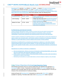BlockMatchCBX operates 2 two distinct order books;-, a regular limit Limit crossing Crossing order book, and a Market On Close order book. In addition, BlockMatchCBX provides a Conditional Book for management of conditional orders, and matching of conditional orders takes place within the Limit Crossing book. Each book operates under the following hours:

| <b>Book</b>             | <b>Operating Hours</b> | <b>Comments</b>                                       |
|-------------------------|------------------------|-------------------------------------------------------|
| <b>Conditional Book</b> | $09:30 - 16:00$        | Holds conditional orders, identifies contra liquidity |
|                         |                        | and requests firm up                                  |
| <b>Limit Crossing</b>   | $09:30 - 16:00$        | Orders can only cross once the stock has opened       |
|                         |                        | on the primary exchange - Continuous trading at       |
|                         |                        | SEHK commences at 09:30.                              |
| Market On Close         | $07:30 - 18:30$        | Orders will cross with an indicative price            |
|                         |                        | (previous close) and then re-price to the closing     |
|                         |                        | price once it is published.                           |

#### <span id="page-6-0"></span>**6.2 Monitoring and Internal Controls**

Instinet operates appropriate system controls to ensure the fair and orderly functioning of BlockMatchCBX including for example the treatment of proprietary orders, execution methodology, Counter party Selection and matching priority as set out in this document.

Instinet conducts monitoring of matching priority on a post trade basis to ensure fair treatment of agency orders over principal orders, and Instinet conducts monitoring of Counterparty Selection settings on a post trade basis to ensure integrity and accuracy of those settings.

Monitoring of conditional firm up requests and responses is stated at 4.7 and where relevant Instinet will take steps to ensure service integrity. 3.3 sets out that clients who do not wish to interact with Liquidity Provider orders, can do so by using Counterparty Selection as described at 7.5.

Management of conflicts of interests is mitigated by:

- Opt-out arrangements. Clients can opt-out of interaction with BlockMatchCBX, and can also opt-out of interaction with particular categories of client, and;
- Within Instinet, real-time visibility of BlockMatch<del>CBX</del> (including pre-trade order level data) is restricted to a need to know basis.
- Monitoring of executions on a post trade basis to ensure integrity of agency over principal.

## <span id="page-6-1"></span>**5.26.3 Timing of Reporting to ExchangeTrade Reporting Timing**

Off exchange transactions that occur during market hours are required to be reported to the HKExSEHK within 1 minute. Transactions concluded outside HKEx SEHK trading hours are reported to the Exchange within the order input period of the Pre-opening session or the first 15 minutes of the commencement of Continuous trading.

Instinet will report all BlockMatchCBX transactions as soon as the HKE<sub>X</sub>-SEHK system is available for reporting. The below table states when a BlockMatchCBX trade is reported: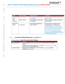| <b>Book</b>        | <b>Time of Trade</b> | <b>Reporting time</b>                       | <b>Comment</b>                                                                                                                                                                                                                                                                                                                                       |
|--------------------|----------------------|---------------------------------------------|------------------------------------------------------------------------------------------------------------------------------------------------------------------------------------------------------------------------------------------------------------------------------------------------------------------------------------------------------|
| Conditional        | $09:30 - 16:00$      | Immediately after the trade                 | Trades entered at 12:00-13:00 report                                                                                                                                                                                                                                                                                                                 |
| <b>Book</b>        |                      | is executed.                                | after 13:00:30.                                                                                                                                                                                                                                                                                                                                      |
| Limit              | $09:30 - 16:00$      | Immediately after the trade                 | Trades entered at 12:00-13:00 report                                                                                                                                                                                                                                                                                                                 |
| Crossing           |                      | is executed.                                | after 13:00:30.                                                                                                                                                                                                                                                                                                                                      |
| Market On<br>Close | 07:30-18:30          | The following trading day<br>After 09:01:30 | These trades are reported to the<br>exchange with a "Previous day"<br>indicator'indicator". i.e. By definition,<br>the trade occurred on the previous day<br>and has the same settlement date as<br>other trades that occurred on the<br>previous day a previous days trade,<br>reported the next morning will have the<br>previous days trade date. |

# <span id="page-7-1"></span><span id="page-7-0"></span>**6.7. Execution Methodology and Trade Priceing**

# **6.17.1 Means of Order Entry and Order Routing**

| <b>Client</b>     | <b>Routing</b>                                                        |
|-------------------|-----------------------------------------------------------------------|
| High touch client | Uses Newport 3, other OMS/EMS or FIX to send orders to coverage       |
|                   | trader-                                                               |
|                   | Coverage trader uses Newport 3 - to access external venues market-via |
|                   | <b>SOR or Instinet Expert Algorithms.</b>                             |
| Low touch client  | Sends order via Newport 3, -er-FIX to SOR-er-, or Instinet Experts    |
|                   | Algorithms-toalgorithms.                                              |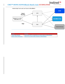Instine **CBXTM HONG KONGBlock Match Asia GUIDELINES** A Nomura Company



 $\ket{3}$ 

| <b>Client</b>                    | Routing                                                 |
|----------------------------------|---------------------------------------------------------|
| <b>Third Party Broker</b>        | Uses own SOR or algorithms to send orders to BlockMatch |
| <b>Direct Client Interaction</b> | Uses FIX to send orders directly to BlockMatch          |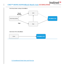Instinet<sup>>></sup> **CBXTM HONG KONGBlock Match Asia GUIDELINES** A Nomura Company





# **7.2 Conditional Order Entry and Firm Up**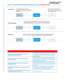# **CBXTM HONG KONGBlock Match Asia GUIDELINES**



Instinet

⊦>>

A Nomura Company

| <b>Outcomes</b>                                                                   |                                                                                                                                                                                                    |  |  |
|-----------------------------------------------------------------------------------|----------------------------------------------------------------------------------------------------------------------------------------------------------------------------------------------------|--|--|
| Both buyer and seller firm up in same size as<br>underlying conditional order     | As described in the workflow above. Buyer has entered<br>a firm order for 500k shares and seller 250k shares.<br>Trade executes at mid-point of the primary exchange<br>for 250k shares.           |  |  |
| Seller firms up in larger size than underlying<br>conditional order               | Seller increases size when firming up and responds<br>with 400k shares rather than 250k, and buyer enters<br>firm order for 500k. Trade executes at mid-point of the<br>primary exchange for 400k. |  |  |
| Buyer firms up in lesser size than underlying<br>conditional order                | Buyer enters firm order smaller in size than original<br>conditional at 200k shares, and seller in full original size<br>of 250k. Trade executes at mid-point of the primary<br>exchange.          |  |  |
| Seller fails respond to firm up request to send a<br>firm order                   | Buyer sends firm order and seller fails to respond.<br>Buyers order will execute against any matchable<br>resting liquidity in the Limit Crossing Book.                                            |  |  |
| Both buyer and seller fail to respond to firm up<br>request and send a firm order | No execution occurs.                                                                                                                                                                               |  |  |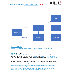

## <span id="page-11-2"></span><span id="page-11-0"></span>**7.3 Onward Routing**

CBXBlockMatch does not provide for routing of orders onwards to other liquidity pools.

## <span id="page-11-1"></span>**6.27.4 Trade Prices**

Within the Limit Crossing Book, Limit orders and pegged orders, within CBX can only cross at, or better than the best bid or ask published by  $HKE \times SEHK$  at theat point in timetime of execution. This also applies for stocks that triggered the volatility control mechanism. If the HKEx trading at SEHK is a crossed book or in suspension, locked then CBX-BlockMatch will not execute trades.

Market- On- Close orders will cross with an indicative price (previous close) and then re-price to the closing price once it is published.

Instinet received receives pricing price information feeds from the HKExSEHK or other market data vendors we consider reliable. In exceptional circumstances, pricing information may be delayed due to reasons beyond Instinet's control, which may result in orders being matched in BlockMatch CBX outside the prevailing best bid and ask on HKExSEHK.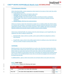## **7.5 Counterparty Selection**

Within BlockMatchCBX, Instinet categorises clients based on the nature of their order flow within one of the following profiles:

Instine:

, Nomura Company

- **Institutional:** Agency flows and agency algo users
- **Principal:** Nomura proprietary trading desk flow
- **Liquidity Provider**: Specialised liquidity providers (including low-latency strategies)
- **Active Trader**: Other latency sensitive participants (not restricted to liquidity provision strategies)
- Partner Broker: DMA flow from external brokers

Clients can choose to tailor their interactions to target one or multiple profiles (the default setting is to interact with all profiles). Counterparty selection requests should be directed to your Instinet relationship manager. Instinet may monitor executions, and in addition will review Counterparty Selection settings and execution reports monthly to ensure service integrity.

Clients have a MemberProfile: the category which the client belongs to, and TargetProfiles: the categories the client is willing to interact with.

- **-** MemberProfile: maps a client to a profile., and is used to define the categories to which a client belongs.
- **-** TargetProfile: maps a client to the profiles against which it is willing to cross. Each client can have any number of target crossing profile codes.

## **7.6 Priority**

Matching priority in the Limit Crossing Book is on a price, size, time basis meaning where there are several orders resting at the same price level, larger sized orders go to the top of the queue. Where orders at a given price level are of the same size, orders are then prioritised by time. Priority in the Market-on-Close Book is time only, as all orders are matched at the closing auction price. Priority in the Conditional Book is size, time, as all orders are pegged to the mid--point of the SEHK best bid offer.

In additionaddition, agency orders have priority over principal orders at any given price level.

#### <span id="page-12-0"></span>**6.37.7 Order Types**

CBX-BlockMatch supports the following order types:

| <b>Order Type</b> | <b>Comment</b>                                            | <b>Matching</b><br><b>Priority</b> |
|-------------------|-----------------------------------------------------------|------------------------------------|
| Limit             | Limit Order is an order with a limit price                | Price, Size,<br>Time               |
| Fill or Kill      | The order will be totally filled or cancelled immediately | Price, Size,<br>Time               |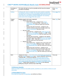# **CBXTM HONG KONGBlock Match Asia GUIDELINES**

|                                                     | Instinet <sup>&gt;&gt;</sup> |
|-----------------------------------------------------|------------------------------|
| <b><i>MHONG KONGBlock Match Asia GUIDELINES</i></b> | A Nomura Company             |
|                                                     |                              |

| Immediate or             | The order will trade as much as possible and the have the residual                                                                                                                                                                                                                                                                                                                                                                                                                                                                                                                                                                                                                                                                                                                                                                                                                                                                                                                                                                                                                                                                                                                                                                                               | Price, Size,                           |
|--------------------------|------------------------------------------------------------------------------------------------------------------------------------------------------------------------------------------------------------------------------------------------------------------------------------------------------------------------------------------------------------------------------------------------------------------------------------------------------------------------------------------------------------------------------------------------------------------------------------------------------------------------------------------------------------------------------------------------------------------------------------------------------------------------------------------------------------------------------------------------------------------------------------------------------------------------------------------------------------------------------------------------------------------------------------------------------------------------------------------------------------------------------------------------------------------------------------------------------------------------------------------------------------------|----------------------------------------|
| Cancel                   | cancelled immediately                                                                                                                                                                                                                                                                                                                                                                                                                                                                                                                                                                                                                                                                                                                                                                                                                                                                                                                                                                                                                                                                                                                                                                                                                                            | Time                                   |
| <b>Iceberg</b><br>Pegged | A 'Display Qty' which is smaller than the order quantity is specified.<br>The quantity as shown on CBX is the display quantity and each time<br>the display qty is completely tradedexhausted, the remaining portion<br>of the order up to the display quantity is displayed. The remaining<br>portion joins at the end top of the order queue.<br>Multiple pegged order types supported:                                                                                                                                                                                                                                                                                                                                                                                                                                                                                                                                                                                                                                                                                                                                                                                                                                                                        | Price, Size, Time<br>Price, Size, Time |
| orders                   | Primary Peg Types:<br>Basic Primary Peg - pegged to the <i>primary</i><br>$\circ$<br>marketSEHK best bid or offer. Order will float<br>dynamically move with the market up to the limit<br>price.<br>Primary Peg with Increments - pegged at user<br>$\circ$<br>defined increment away from the same side of the<br>primary marketSEHK best bid or offer.<br>Mid Peg Types:<br>Basic Mid Peg - pegged to the middle-mid-point of<br>$\circ$<br>the primary marketSEHK best bid and ooffer. Order<br>will fleat-dynamically move with the market up to the<br>limit price.<br>Mid Peg with Increments - pegged at user defined<br>$\circ$<br>increment away from middle of <b>primary marketSEHK</b><br>best bid er-offer. - Order will fleat-dynamically move<br>with the market up to the limit price.<br>Market Peg Types:<br>Basic Market Peg – pegged to the contra-side of the<br>$\circ$<br>primary marketSEHK best bid or offer. Order will<br>float-dynamically move with the market up to the limit<br>price.<br>Market Peg with Increments - pegged at user<br>$\circ$<br>defined increment away from the contra-side of the<br>primary marketSEHK best bid or offer. - Order will<br>float-dynamically move with the market up to the limit<br>price. |                                        |
| <b>MOC</b>               | "Market On Close" - A pre-close cross using Trades are executed at<br>the day's <b>SEHK</b> closing auction price. - Clients using MOC will be sent<br>"indicative fills" as they are matched, using the previous day's<br>closing price. Final executions will be sent shortly after the market<br>closes, once the closing price is calculated, and are repriced to the<br>day's closing auction price, following completion of the SEHK closing<br>auction. - Trades will be reported to HKEx-SEHK on the following<br>trading day using the "previous day's trade" flag.                                                                                                                                                                                                                                                                                                                                                                                                                                                                                                                                                                                                                                                                                     | Time only                              |

## <span id="page-13-0"></span>**7.8 Minimum Quantity**

Clients can apply a minimum executable quantity, specified as a set number of shares on a per order basis.

## <span id="page-13-1"></span>**7.9 Price StepsTick Sizes**

Price stepsTick Sizes in CBX BlockMatch are defined as follows: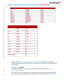# **CBXTM HONG KONGBlock Match Asia GUIDELINES**

| Low Range | <del>ligh Range</del> | <b>Price Step</b> |
|-----------|-----------------------|-------------------|
| θ         | 0.2499                | 0.001             |
| 0.25      | 0.4999                | 0.001             |
| 0.50      | 9.9999                | 0.001             |
| 40.00     | <u>19.9999</u>        | 0.002             |
| 20.00     | 99.999                | 0.005             |
| 400.00    | <del>199.9999</del>   | 0.010             |
| 200.00    | 499.9999              | 0.020             |
| 500.00    | 999.9999              | 0.050             |
| 4000.00   | <u>1999.9999</u>      | 0.100             |
| 2000.00   | 4998.9999             | 0.200             |
| 5000.00   | 9995                  | 0.500             |

Instine

A Nomura Company

| <u>ow Range</u> | ligh Range   | <u>Price Step</u> |
|-----------------|--------------|-------------------|
| $\underline{0}$ | <u>9.999</u> | 0.001             |
| 0.25            | 0.499        | 0.001             |
| 0.5             | 9.999        | 0.001             |
| 10              | 19.998       | 0.002             |
| 20              | 99.995       | 0.005             |
| <u>100</u>      | 199.99       | 0.01              |
| 200             | 499.98       | 0.02              |
| 500             | 999.95       | 0.05              |
| 1000            | 1999.9       | 0.1               |
| 2000            | 4999.8       | 0.2               |
| 5000 or above   |              | 0.5               |

Orders entered into CBX BlockMatch that are ofhave a limit price between the spread will be rounded conservatively; that is, for buy orders, downwards to the nearest price step and upwards for sell orders.

#### <span id="page-14-0"></span>**6.47.10 Quantity**

CBX will accept board lots only. Any mixed or odd lot orders will be rejected. Board lots are defined and set by SEHK.

The maximum order size is defined on a per-client basis as part of Instinet's standard pre-trade risk controls. There is no default maximum share/lot size for orders entered into CBXBlockMatch.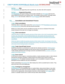## <span id="page-15-0"></span>**6.57.11 Side**

CBX-BlockMatch will support Buy and Long Sell only. Any other side will be rejected.

#### <span id="page-15-1"></span>**6.67.12 Supported Securities**

CBX-BlockMatch will support trading of all securities tradeable on HKEx-SEHK that have the same settlement process as an ordinary stock. This includes ordinary stocks, exchange traded funds, warrants but not bonds. Orders for Hong KongSEHK bonds will be rejected.

## <span id="page-15-3"></span><span id="page-15-2"></span>**7.8. Cancellation and Amendment Process**

#### **7.18.1 Client cancellation**

Clients are able to cancel orders sent to the reqular limit book of CBX-BlockMatch Limit Crossing or Conditional Book at any time until they become fully filled.

Market- On- Close orders may be cancelled at any time, but once an indicative fill has been issued, that part of the order can no longer be cancelled.

#### <span id="page-15-4"></span>**7.28.2 Client amendment**

Clients are able to modify the quantity and price of their orders in the Limit Crossing Book subject to price, size, time priority. In the Conditional Book size, time priority and time priority in the Market-On-Close Book. Amended orders are timestamped with time amended and prioritised accordingly.

Clients are able to modify the quantity and price of their orders in CBX. Any change to the price, or an increase in quantity will result in losing queue priority. Amendments to decrease the quantity will remain at their existing location in the queue.

#### <span id="page-15-5"></span>**7.38.3 Trade Cancel/Trade Correct**

Instinet has discretion to cancel/correct a trade that has already occurred on CBXBlockMatch. This facility is not generally available and will only be used to correct genuine errors of faults. Trades already reported to the exchange cannot be cancelled/corrected by Instinet, as they are subject to the Rules of SEHK..-

#### <span id="page-15-6"></span>**7.48.4 Force Cancel**

In the event of a force majeure, connectivity problems, clearly anomalous trades or other relevant and genuine emergency situations, Instinet reserves the right to force cancel an order in BlockMatchCBX, if in Instinet's absolute discretion, such a cancellation is required. Impacted participants will be notified for any such cancellations.

Orders outstanding in BlockMatchCBX after trading hours will be cancelled back to clients. They will not roll over to the next trading day.

#### <span id="page-15-7"></span>**7.58.5 Contingency Arrangement**

If BlockMatchCBX is not operational due to a system failure, data services failure or any other reasons, unexecuted order may be either cancelled, or held pending resolution of the incident. Instinet will use appropriate communication channels to inform impacted users clients of the causes, or possible causes and to confirm the way orders will be handled.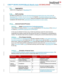### <span id="page-16-0"></span>**8.9. Aggregation**

Orders are not aggregated in BlockMatchCBX.

## <span id="page-16-1"></span>**9.10. Self-crossing**

By default, all clients can self-cross with themselvesexecute against their own contra orders in BlockMatchCBX. However, this can be turned off ilf required..., the default setting can be changed and clients andcan switch off self--crossing. Clients are expected to have controls in place to ensure compliance with relevant rules, particularly regarding prevention of wash -trades.

## <span id="page-16-3"></span><span id="page-16-2"></span>**10.11. Internal Control Process**

#### **10.111.1 Stock Suspended from TradingSuspension**

There will be no trading of stocks at during any crossing time in CBX-BlockMatch if the trading of the stock is in suspended suspension by at HKExSEHK.

In the case of a Market On Close cross, if after the preliminary match the stock becomes suspended from trading, Instinet will still execute the match if a Closing price is ascertainable by Instinet. The indicative trade will be cancelled if a Closing price cannot be determined by Instinet.

#### <span id="page-16-4"></span>**10.211.2 Price Range checking**

As noted in section [6.2,](#page-11-2) BlockMatchCBX will allow matching of orders on the regular limit bookin the Limit Crossing Book at or better than the HKEx's best available bid and offer on SEHK at that point in time. Orders more aggressively priced (but still within Instinet's pre-trade risk controls set up on a per client basis) will be rounded down to the far touch price and more passively priced orders more passive will sit rest in the book until they come into range, or BlockMatchCBX closes for the day.

#### <span id="page-16-5"></span>**10.311.3 Schedule of Internal Users**

In order to provide monitoring, support, governance, and operational assistance to clients,  $\pm$ the following Instinet users have access to certain data within BlockMatchCBX:

| <b>Department</b>     | <b>Title</b>                                 | <b>Real-time</b><br>visibility? | <b>Reason for Access</b>                                 |
|-----------------------|----------------------------------------------|---------------------------------|----------------------------------------------------------|
| Technology            | <b>Asia Trading Operations</b>               | Υ                               | Application support                                      |
|                       | <b>Product Strategy</b>                      | N                               | Product support                                          |
| Operations            | Middle Office/settlements                    | N                               | Allocations, booking, clearing and<br>settlement         |
| Legal &<br>Compliance | Compliance                                   | N                               | Trade surveillance and monitoring                        |
| Front office          | Electronic coverage                          | N                               | Account coverage for clients                             |
|                       | Responsible officers/<br>regulatory managers | N                               | Supervision and Management                               |
|                       | <b>Head of Liquidity Strategy</b>            | $\underline{\mathsf{N}}$        | Managing development of ALP<br>liquidity and performance |